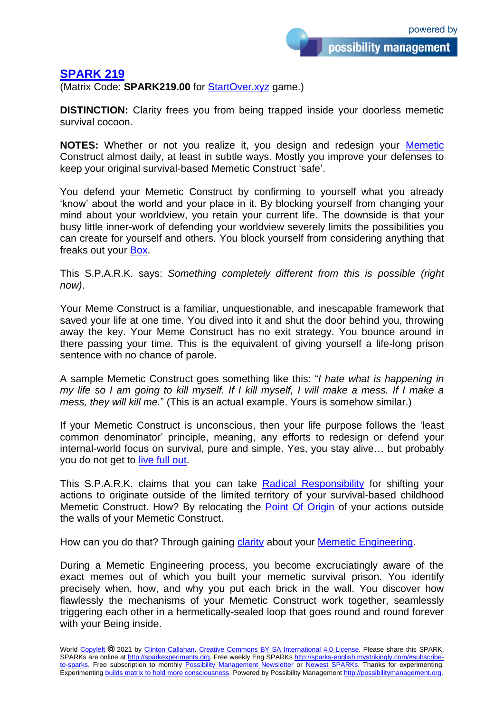## **[SPARK 219](http://sparks-english.mystrikingly.com/)**

(Matrix Code: **SPARK219.00** for [StartOver.xyz](http://startoverxyz.mystrikingly.com/) game.)

**DISTINCTION:** Clarity frees you from being trapped inside your doorless memetic survival cocoon.

**NOTES:** Whether or not you realize it, you design and redesign your [Memetic](http://memetics.mystrikingly.com/) Construct almost daily, at least in subtle ways. Mostly you improve your defenses to keep your original survival-based Memetic Construct 'safe'.

You defend your Memetic Construct by confirming to yourself what you already 'know' about the world and your place in it. By blocking yourself from changing your mind about your worldview, you retain your current life. The downside is that your busy little inner-work of defending your worldview severely limits the possibilities you can create for yourself and others. You block yourself from considering anything that freaks out your [Box.](http://boxtechnology.mystrikingly.com/)

This S.P.A.R.K. says: *Something completely different from this is possible (right now)*.

Your Meme Construct is a familiar, unquestionable, and inescapable framework that saved your life at one time. You dived into it and shut the door behind you, throwing away the key. Your Meme Construct has no exit strategy. You bounce around in there passing your time. This is the equivalent of giving yourself a life-long prison sentence with no chance of parole.

A sample Memetic Construct goes something like this: "*I hate what is happening in my life so I am going to kill myself. If I kill myself, I will make a mess. If I make a mess, they will kill me.*" (This is an actual example. Yours is somehow similar.)

If your Memetic Construct is unconscious, then your life purpose follows the 'least common denominator' principle, meaning, any efforts to redesign or defend your internal-world focus on survival, pure and simple. Yes, you stay alive… but probably you do not get to [live full out.](http://livefullout.mystrikingly.com/)

This S.P.A.R.K. claims that you can take [Radical Responsibility](http://radicalresponsibility.mystrikingly.com/) for shifting your actions to originate outside of the limited territory of your survival-based childhood Memetic Construct. How? By relocating the [Point Of Origin](http://pointoforigin.mystrikingly.com/) of your actions outside the walls of your Memetic Construct.

How can you do that? Through gaining [clarity](http://swordofclarity.mystrikingly.com/) about your [Memetic Engineering.](http://memeticengineering.mystrikingly.com/)

During a Memetic Engineering process, you become excruciatingly aware of the exact memes out of which you built your memetic survival prison. You identify precisely when, how, and why you put each brick in the wall. You discover how flawlessly the mechanisms of your Memetic Construct work together, seamlessly triggering each other in a hermetically-sealed loop that goes round and round forever with your Being inside.